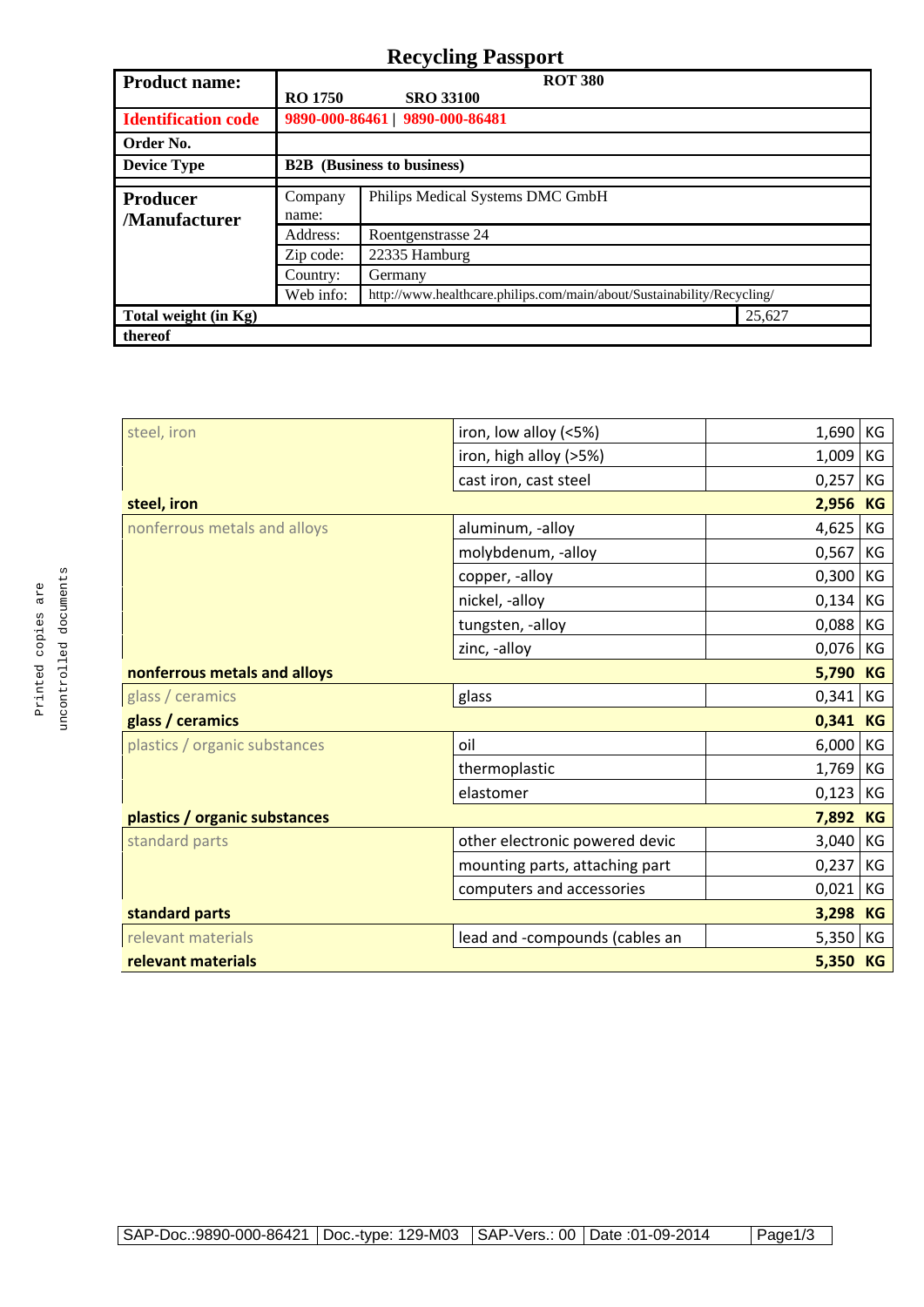## **Recycling Passport**

| <b>Product name:</b>            | $\overline{\phantom{a}}$<br><b>ROT 380</b> |                                                                        |        |
|---------------------------------|--------------------------------------------|------------------------------------------------------------------------|--------|
|                                 | <b>RO 1750</b>                             | <b>SRO 33100</b>                                                       |        |
| <b>Identification code</b>      |                                            | 9890-000-86461   9890-000-86481                                        |        |
| Order No.                       |                                            |                                                                        |        |
| <b>Device Type</b>              | <b>B2B</b> (Business to business)          |                                                                        |        |
| Producer<br><b>Manufacturer</b> | Company                                    | Philips Medical Systems DMC GmbH                                       |        |
|                                 | name:                                      |                                                                        |        |
|                                 | Address:                                   | Roentgenstrasse 24                                                     |        |
|                                 | Zip code:                                  | 22335 Hamburg                                                          |        |
|                                 | Country:                                   | Germany                                                                |        |
|                                 | Web info:                                  | http://www.healthcare.philips.com/main/about/Sustainability/Recycling/ |        |
| Total weight (in Kg)            |                                            |                                                                        | 25,627 |
| thereof                         |                                            |                                                                        |        |

| iron, low alloy (<5%)          | 1,690 | KG                |
|--------------------------------|-------|-------------------|
| iron, high alloy (>5%)         | 1,009 | KG                |
| cast iron, cast steel          | 0,257 | KG                |
|                                | 2,956 | <b>KG</b>         |
| aluminum, -alloy               | 4,625 | KG                |
| molybdenum, -alloy             | 0,567 | KG                |
| copper, -alloy                 | 0,300 | КG                |
| nickel, -alloy                 | 0,134 | KG                |
| tungsten, -alloy               | 0,088 | KG                |
| zinc, -alloy                   | 0,076 | КG                |
| nonferrous metals and alloys   |       |                   |
| glass                          | 0,341 | КG                |
|                                | 0,341 | KG                |
| oil                            | 6,000 | KG                |
| thermoplastic                  | 1,769 | KG                |
| elastomer                      | 0,123 | КG                |
|                                | 7,892 | KG                |
| other electronic powered devic | 3,040 | KG                |
| mounting parts, attaching part | 0,237 | KG                |
| computers and accessories      | 0,021 | KG                |
|                                | 3,298 | <b>KG</b>         |
| lead and -compounds (cables an | 5,350 | КG                |
| relevant materials             |       |                   |
|                                |       | 5,790<br>5,350 KG |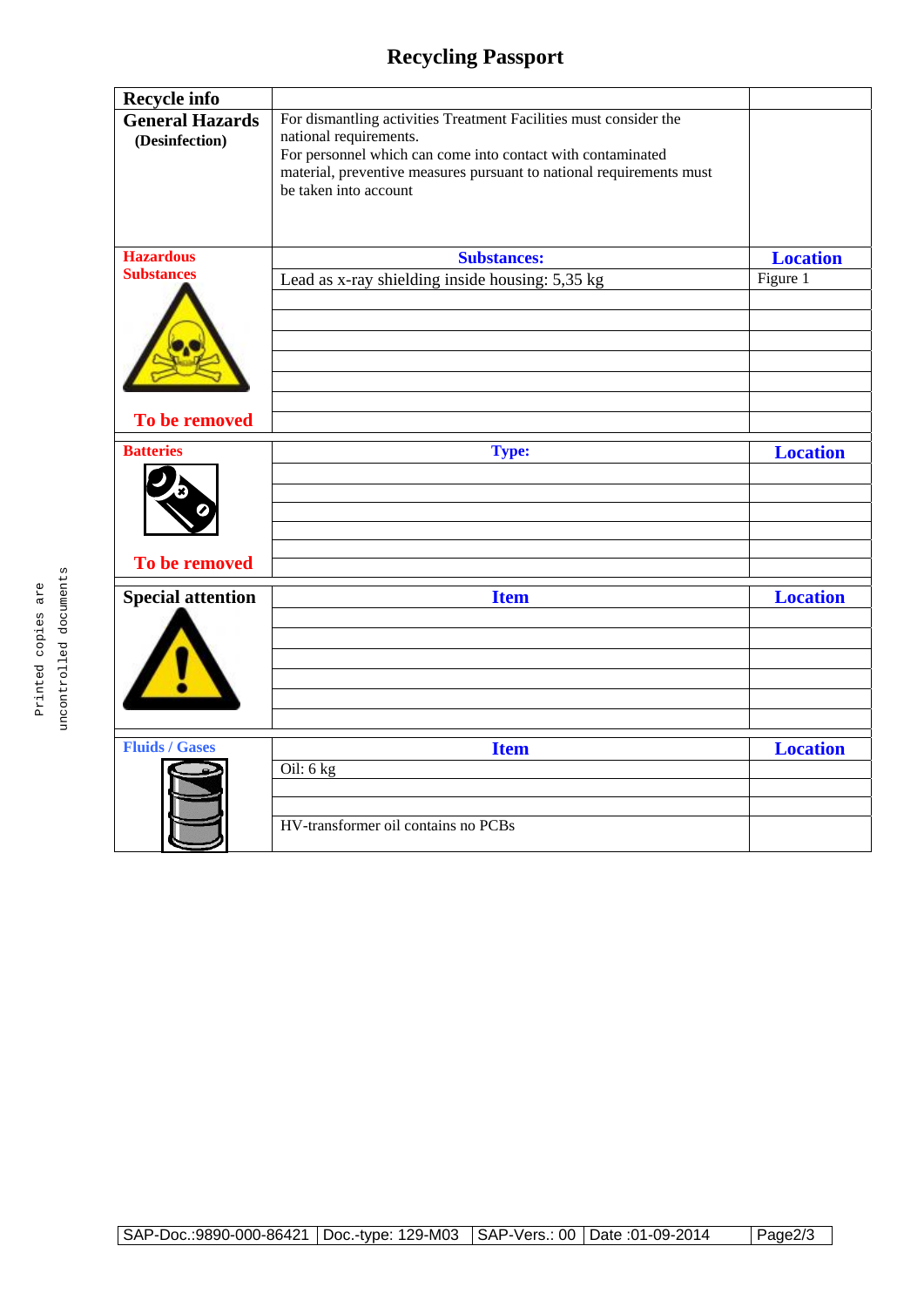## **Recycling Passport**

| <b>Recycle info</b>                      |                                                                                                                                                                                                                                                             |                 |
|------------------------------------------|-------------------------------------------------------------------------------------------------------------------------------------------------------------------------------------------------------------------------------------------------------------|-----------------|
| <b>General Hazards</b><br>(Desinfection) | For dismantling activities Treatment Facilities must consider the<br>national requirements.<br>For personnel which can come into contact with contaminated<br>material, preventive measures pursuant to national requirements must<br>be taken into account |                 |
| <b>Hazardous</b>                         | <b>Substances:</b>                                                                                                                                                                                                                                          | <b>Location</b> |
| <b>Substances</b>                        | Lead as x-ray shielding inside housing: 5,35 kg                                                                                                                                                                                                             | Figure 1        |
|                                          |                                                                                                                                                                                                                                                             |                 |
|                                          |                                                                                                                                                                                                                                                             |                 |
| To be removed                            |                                                                                                                                                                                                                                                             |                 |
| <b>Batteries</b>                         | <b>Type:</b>                                                                                                                                                                                                                                                | <b>Location</b> |
|                                          |                                                                                                                                                                                                                                                             |                 |
| To be removed                            |                                                                                                                                                                                                                                                             |                 |
| <b>Special attention</b>                 | <b>Item</b>                                                                                                                                                                                                                                                 | <b>Location</b> |
|                                          |                                                                                                                                                                                                                                                             |                 |
|                                          |                                                                                                                                                                                                                                                             |                 |
| <b>Fluids / Gases</b>                    |                                                                                                                                                                                                                                                             | <b>Location</b> |
|                                          | <b>Item</b><br>Oil: 6 kg                                                                                                                                                                                                                                    |                 |
|                                          |                                                                                                                                                                                                                                                             |                 |
|                                          |                                                                                                                                                                                                                                                             |                 |
|                                          | HV-transformer oil contains no PCBs                                                                                                                                                                                                                         |                 |